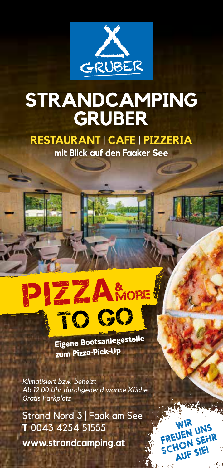

### **STRANDCAMPING GRUBER**

**RESTAURANT | CAFE | PIZZERIA**

**mit Blick auf den Faaker See**

# **PIZZA** No **MORE**

**Eigene Bootsanlegestelle zum Pizza-Pick-Up**

> WIR<br>FREUEN UNS SCHON SEHR AUF SIE!

a dete

*Klimatisiert bzw. beheizt Ab 12.00 Uhr durchgehend warme Küche Gratis Parkplatz*

Strand Nord 3 | Faak am See **T** 0043 4254 51555 **www.strandcamping.at**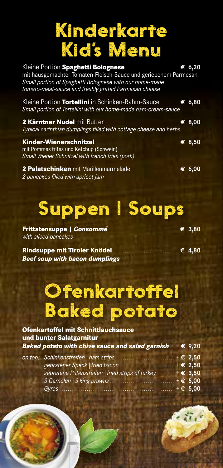### Kinderkarte Kid's Menu

| mit hausgemachter Tomaten-Fleisch-Sauce und geriebenem Parmesan<br>Small portion of Spaghetti Bolognese with our home-made<br>tomato-meat-sauce and freshly grated Parmesan cheese |                 |
|------------------------------------------------------------------------------------------------------------------------------------------------------------------------------------|-----------------|
| Kleine Portion Tortellini in Schinken-Rahm-Sauce€ 6,80<br>Small portion of Tortellini with our home-made ham-cream-sauce                                                           |                 |
| Typical carinthian dumplings filled with cottage cheese and herbs                                                                                                                  | $\epsilon$ 8,00 |
| Kinder-Wienerschnitzel.<br>mit Pommes frites und Ketchup (Schwein)<br>Small Wiener Schnitzel with french fries (pork)                                                              | € 8,50          |
| 2 pancakes filled with apricot jam                                                                                                                                                 |                 |

# Suppen | Soups

| with sliced pancakes          |              |
|-------------------------------|--------------|
| Dindonnes mit Tinslan Vatidal | $\sim$ $100$ |

**Rindsuppe mit Tiroler Knödel** . . . . . . . . . . . . . . . . . . . . . . . . . . . . . . . . . . .**€ 4,80** *Beef soup with bacon dumplings*

### Ofenkartoffel Baked potato

| <b>Ofenkartoffel mit Schnittlauchsauce</b><br>und bunter Salatgarnitur |                   |
|------------------------------------------------------------------------|-------------------|
| Baked potato with chive sauce and salad garnish $\mathcal{E}$ 9,20     |                   |
| on top: Schinkenstreifen   ham strips                                  | $+ \epsilon$ 2,50 |
| gebratener Speck   fried bacon                                         | $+ \epsilon$ 2,50 |
| gebratene Putenstreifen   fried strips of turkey                       | $+ \in 3,50$      |
| 3 Garnelen   3 king prawns                                             | $+ \in 5,00$      |
| Gyros                                                                  | $+ \in 5,00$      |

 $2.576$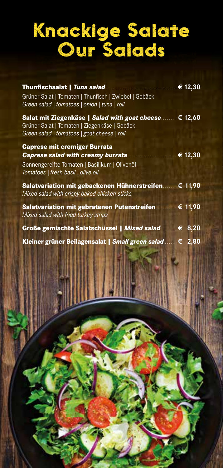### Knackige Salate Our Salads

| Thunfischsalat   <i>Tuna salad</i> .                                                                                                                | € 12,30 |
|-----------------------------------------------------------------------------------------------------------------------------------------------------|---------|
| Grüner Salat   Tomaten   Thunfisch   Zwiebel   Gebäck<br>Green salad   tomatoes   onion   tuna   roll                                               |         |
| Salat mit Ziegenkäse   Salad with goat cheese€ 12,60<br>Grüner Salat   Tomaten   Ziegenkäse   Gebäck<br>Green salad   tomatoes   goat cheese   roll |         |
| <b>Caprese mit cremiger Burrata</b>                                                                                                                 |         |
| <b>Caprese salad with creamy burrata</b>                                                                                                            | € 12,30 |
| Sonnengereifte Tomaten   Basilikum   Olivenöl<br>Tomatoes   fresh basil   olive oil                                                                 |         |
| Salatvariation mit gebackenen Hühnerstreifen € 11,90<br>Mixed salad with crispy baked chicken sticks                                                |         |
| <b>Salatvariation mit gebratenen Putenstreifen</b><br>Mixed salad with fried turkey strips                                                          | € 11,90 |
| Große gemischte Salatschüssel   Mixed salad                                                                                                         | € 8,20  |
| Kleiner grüner Beilagensalat   Small green salad                                                                                                    | .€ 2,80 |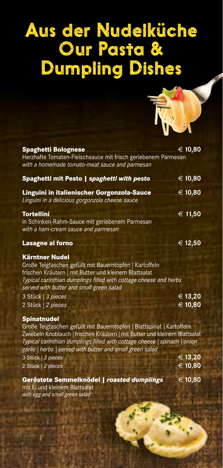### Aus der Nudelküche Our Pasta & Dumpling Dishes



| <b>Spaghetti Bolognese</b><br>Herzhafte Tomaten-Fleischsauce mit frisch geriebenem Parmesan                                                                                                                                                                                                                                        | $\epsilon$ 10,80            |
|------------------------------------------------------------------------------------------------------------------------------------------------------------------------------------------------------------------------------------------------------------------------------------------------------------------------------------|-----------------------------|
| with a homemade tomato-meat sauce and parmesan                                                                                                                                                                                                                                                                                     |                             |
| Spaghetti mit Pesto   spaghetti with pesto.                                                                                                                                                                                                                                                                                        | $\overline{\epsilon}$ 10,80 |
| Linguini in italienischer Gorgonzola-Sauce.<br>Linguini in a delicious gorgonzola cheese sauce                                                                                                                                                                                                                                     | € 10,80                     |
| Tortellini<br>in Schinken-Rahm-Sauce mit geriebenem Parmesan                                                                                                                                                                                                                                                                       | € 11,50                     |
| with a ham-cream sauce and parmesan                                                                                                                                                                                                                                                                                                |                             |
| Lasagne al forno.                                                                                                                                                                                                                                                                                                                  | € 12,50                     |
| <b>Kärntner Nudel</b><br>Große Teigtaschen gefüllt mit Bauerntopfen   Kartoffeln<br>frischen Kräutern   mit Butter und kleinem Blattsalat<br>Typical carinthian dumplings filled with cottage cheese and herbs<br>served with butter and small green salad                                                                         |                             |
| 3 Stück   3 pieces<br>2 Stück   2 pieces                                                                                                                                                                                                                                                                                           | € 13,20<br>€ 10,80          |
| Spinatnudel<br>Große Teigtaschen gefüllt mit Bauerntopfen   Blattspinat   Kartoffeln<br>Zwiebeln Knoblauch   frischen Kräutern   mit Butter und kleinem Blattsalat<br>Typical carinthian dumplings filled with cottage cheese   spinach   onion<br>garlic   herbs   served with butter and small green salad<br>3 Stück   3 pieces | $\epsilon$ 13,20            |
| 2 Stück   2 pieces                                                                                                                                                                                                                                                                                                                 | € 10,80                     |
| Geröstete Semmelknödel   <i>roasted dumplings</i><br>mit Ei und kleinem Blattsalat<br>with egg and small green salad                                                                                                                                                                                                               | € 10,80                     |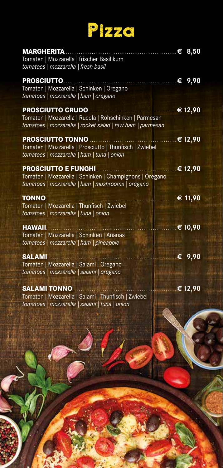# Pizza

| <b>MARGHERITA</b>                                         | $\epsilon$ 8,50  |
|-----------------------------------------------------------|------------------|
| Tomaten   Mozzarella   frischer Basilikum                 |                  |
| tomatoes   mozzarella   fresh basil                       |                  |
|                                                           |                  |
| <b>PROSCIUTTO</b>                                         | € 9,90           |
| Tomaten   Mozzarella   Schinken   Oregano                 |                  |
| tomatoes   mozzarella   ham   oregano                     |                  |
| <b>PROSCIUTTO CRUDO</b>                                   | € 12,90          |
| Tomaten   Mozzarella   Rucola   Rohschinken   Parmesan    |                  |
| tomatoes   mozzarella   rocket salad   raw ham   parmesan |                  |
|                                                           |                  |
| <b>PROSCIUTTO TONNO</b>                                   | $\epsilon$ 12,90 |
| Tomaten   Mozzarella   Prosciutto   Thunfisch   Zwiebel   |                  |
| tomatoes   mozzarella   ham   tuna   onion                |                  |
| <b>PROSCIUTTO E FUNGHI</b>                                | € 12,90          |
| Tomaten   Mozzarella   Schinken   Champignons   Oregano   |                  |
| tomatoes   mozzarella   ham   mushrooms   oregano         |                  |
|                                                           |                  |
| <b>TONNO</b>                                              | € 11,90          |
| Tomaten   Mozzarella   Thunfisch   Zwiebel                |                  |
| tomatoes   mozzarella   tuna   onion                      |                  |
| <b>HAWAII</b>                                             | € 10,90          |
| Tomaten   Mozzarella   Schinken   Ananas                  |                  |
| tomatoes   mozzarella   ham   pineapple                   |                  |
|                                                           |                  |
| <b>SALAMI</b>                                             | € $9,90$         |
| Tomaten   Mozzarella   Salami   Oregano                   |                  |
| tomatoes   mozzarella   salami   oregano                  |                  |
|                                                           |                  |
| <b>SALAMI TONNO</b>                                       | € 12,90          |
| Tomaten   Mozzarella   Salami   Thunfisch   Zwiebel       |                  |
| tomatoes   mozzarella   salami   tuna   onion             |                  |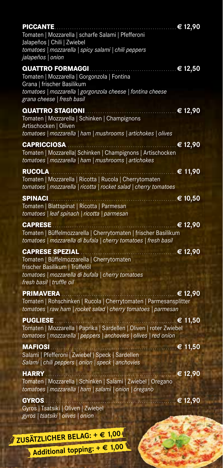| <b>PICCANTE</b><br>Tomaten   Mozzarella   scharfe Salami   Pfefferoni<br>Jalapeños   Chili   Zwiebel<br>tomatoes   mozzarella   spicy salami   chili peppers<br>jalapeños   onion          | € 12,90                                                                      |
|--------------------------------------------------------------------------------------------------------------------------------------------------------------------------------------------|------------------------------------------------------------------------------|
| QUATTRO FORMAGGI.<br>Tomaten   Mozzarella   Gorgonzola   Fontina<br>Grana   frischer Basilikum<br>tomatoes   mozzarella   gorgonzola cheese   fontina cheese<br>grana cheese   fresh basil | € 12,50                                                                      |
| <b>QUATTRO STAGIONI</b><br>Tomaten   Mozzarella   Schinken   Champignons<br>Artischocken   Oliven<br>tomatoes   mozzarella   ham   mushrooms   artichokes   olives                         | € 12,90                                                                      |
| <b>CAPRICCIOSA</b><br>Tomaten   Mozzarella  Schinken   Champignons   Artischocken<br>tomatoes   mozzarella   ham   mushrooms   artichokes                                                  | € 12,90                                                                      |
| <b>RUCOLA</b><br>Tomaten   Mozzarella   Ricotta   Rucola   Cherrytomaten<br>tomatoes   mozzarella   ricotta   rocket salad   cherry tomatoes                                               | € 11,90                                                                      |
| <b>SPINACI</b><br>Tomaten   Blattspinat   Ricotta   Parmesan<br>tomatoes   leaf spinach   ricotta   parmesan                                                                               | € 10,50                                                                      |
| <b>CAPRESE</b><br>Tomaten   Büffelmozzarella   Cherrytomaten   frischer Basilikum<br>tomatoes   mozzarella di bufala   cherry tomatoes   fresh basil                                       | € $\overline{12,90}$                                                         |
| <b>CAPRESE SPEZIAL</b><br>Tomaten   Büffelmozzarella   Cherrytomaten<br>frischer Basilikum   Trüffelöl<br>tomatoes   mozzarella di bufala   cherry tomatoes<br>fresh basil   truffle oil   | € 12,90<br>.                                                                 |
| <b>PRIMAVERA</b><br>tomatoes   raw ham   rocket salad   cherry tomatoes   parmesan                                                                                                         | € 12,90<br>Tomaten   Rohschinken   Rucola   Cherrytomaten   Parmesansplitter |
| <b>PUGLIESE</b><br>Tomaten   Mozzarella   Paprika   Sardellen   Oliven   roter Zwiebel<br>tomatoes   mozzarella   peppers   anchovies   olives   red onion                                 | .⊥€ 11,50                                                                    |
| <b>MAFIOSI</b><br>Salami   Pfefferoni   Zwiebel   Speck   Sardellen<br>Salami   chili peppers   onion   speck   anchovies                                                                  | $\mathbb{R} \in 11,50$                                                       |
| <b>HARRY</b><br>Tomaten   Mozzarella   Schinken   Salami   Zwiebel   Oregano<br>tomatoes   mozzarella   ham   salami   onion   oregano                                                     | € 12,90                                                                      |
| <b>GYROS</b><br>Gyros   Tsatsiki   Oliven   Zwiebel<br>gyros   tsatsiki   olives   onion                                                                                                   | € 12,90                                                                      |
| ER BELAG: $+$ $\in$ 1,00<br>ZUSÄTZLICI                                                                                                                                                     |                                                                              |

**Additional topping: + € 1,00**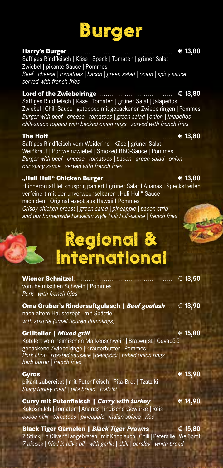### Burger

#### **Harry's Burger** . . . . . . . . . . . . . . . . . . . . . . . . . . . . . . . . . . . . . . . . . . . . . . . . . . . . . . . . . .**€ 13,80**

Saftiges Rindfleisch | Käse | Speck | Tomaten | grüner Salat Zwiebel | pikante Sauce | Pommes *Beef | cheese | tomatoes | bacon | green salad | onion | spicy sauce served with french fries*

**Lord of the Zwiebelringe** . . . . . . . . . . . . . . . . . . . . . . . . . . . . . . . . . . . . . . . . . . .**€ 13,80** Saftiges Rindfleisch | Käse | Tomaten | grüner Salat | Jalapeños Zwiebel *|* Chili-Sauce *|* getopped mit gebackenen Zwiebelringen *|* Pommes *Burger with beef | cheese | tomatoes | green salad | onion | jalapeños chili-sauce topped with backed onion rings | served with french fries*

**The Hoff** . . . . . . . . . . . . . . . . . . . . . . . . . . . . . . . . . . . . . . . . . . . . . . . . . . . . . . . . . . . . . . . . . . . .**€ 13,80** Saftiges Rindfleisch vom Weiderind | Käse | grüner Salat Weißkraut | Portweinzwiebel | Smoked BBQ-Sauce | Pommes *Burger with beef | cheese | tomatoes | bacon | green salad | onion our spicy sauce | served with french fries*

**"Huli Huli" Chicken Burger** . . . . . . . . . . . . . . . . . . . . . . . . . . . . . . . . . . . . . . .**€ 13,80** Hühnerbrustfilet knusprig paniert I grüner Salat I Ananas I Speckstreifen verfeinert mit der unverwechselbaren "Huli Huli" Sauce nach dem Originalrezept aus Hawaii I Pommes *Crispy chicken breast | green salad | pineapple | bacon strip and our homemade Hawaiian style Huli Huli-sauce | french fries*

### Regional & International

**Wiener Schnitzel** . . . . . . . . . . . . . . . . . . . . . . . . . . . . . . . . . . . . . . . . . . . . . . . . . . . . . . .€ **13,50** vom heimischen Schwein | Pommes *Pork | with french fries*

**Oma Gruber's Rindersaftgulasch |** *Beef goulash* . . . . . . .€ **13,90** nach altem Hausrezept | mit Spätzle *with spätzle (small floured dumplings)*

#### **Grillteller |** *Mixed grill* . . . . . . . . . . . . . . . . . . . . . . . . . . . . . . . . . . . . . . . . . . . . . .€ **15,80**

Kotelett vom heimischen Markenschwein | Bratwurst | Cevapčiči gebackene Zwiebelringe | Kräuterbutter | Pommes *Pork chop | roasted sausage | cevapcici | baked onion rings herb butter | french fries*

**Gyros** . . . . . . . . . . . . . . . . . . . . . . . . . . . . . . . . . . . . . . . . . . . . . . . . . . . . . . . . . . . . . . . . . . . . . . . .**€ 13,90** pikant zubereitet | mit Putenfleisch | Pita-Brot | Tzatziki *Spicy turkey meat | pita bread | tzatziki*

**Curry mit Putenfleisch |** *Curry with turkey* . . . . . . . . . . . . . .**€ 14,90** Kokosmilch *|* Tomaten *|* Ananas *|* indische Gewürze *|* Reis *cocoa milk | tomatoes | pineapple | indian spices | rice*

**Black Tiger Garnelen |** *Black Tiger Prawns* . . . . . . . . . . . . . . .**€ 15,80** 7 Stück | in Olivenöl angebraten | mit Knoblauch | Chili | Petersilie | Weißbrot *7 pieces | fried in olive oil | with garlic | chili | parsley | white bread*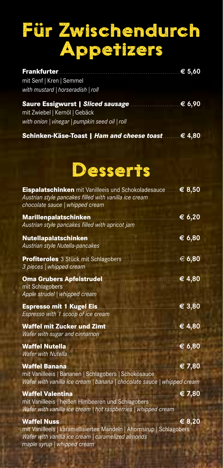## Für Zwischendurch Appetizers

| mit Senf   Kren   Semmel          |  |
|-----------------------------------|--|
| with mustard   horseradish   roll |  |
|                                   |  |

| Saure Essigwurst   Sliced sausage <b>communities</b> 6,90 |  |
|-----------------------------------------------------------|--|
| mit Zwiebel   Kernöl   Gebäck                             |  |
| with onion   vinegar   pumpkin seed oil   roll            |  |

**Schinken-Käse-Toast |** *Ham and cheese toast* . . . . . . . . . **€ 4,80**

### Desserts

| <b>Eispalatschinken</b> mit Vanilleeis und Schokoladesauce<br>Austrian style pancakes filled with vanilla ice cream<br>chocolate sauce   whipped cream                          | $\epsilon$ 8,50 |
|---------------------------------------------------------------------------------------------------------------------------------------------------------------------------------|-----------------|
| <b>Marillenpalatschinken</b><br>Austrian style pancakes filled with apricot jam                                                                                                 | € 6,20          |
| <b>Nutellapalatschinken</b><br>Austrian style Nutella-pancakes                                                                                                                  | € 6,80          |
| <b>Profiteroles</b> 3 Stück mit Schlagobers<br>3 pieces   whipped cream                                                                                                         | .€ 6,80         |
| <b>Oma Grubers Apfelstrudel</b><br>mit Schlagobers<br>Apple strudel   whipped cream                                                                                             | € 4,80          |
| <b>Espresso mit 1 Kugel Eis.</b><br>Espresso with 1 scoop of ice cream                                                                                                          | € 3,80          |
| <b>Waffel mit Zucker und Zimt</b><br>Wafer with sugar and cinnamon                                                                                                              | € 4,80          |
| <b>Waffel Nutella</b><br><b>Wafer with Nutella</b>                                                                                                                              | € 6,80          |
| <b>Waffel Banana</b><br>mit Vanilleeis   Bananen   Schlagobers   Schokosauce<br>Wafer with vanilla ice cream   banana   chocolate sauce   whipped cream                         | € 7,80          |
| <b>Waffel Valentina</b><br>mit Vanilleeis   heißen Himbeeren und Schlagobers<br>Wafer with vanilla ice cream   hot raspberries   whipped cream                                  | € 7,80          |
| <b>Waffel Nuss</b><br>mit Vanilleeis   karamellisierten Mandeln   Ahornsirup   Schlagobers<br>Wafer with vanilla ice cream   caramelized almonds<br>maple syrup   whipped cream | € 8,20          |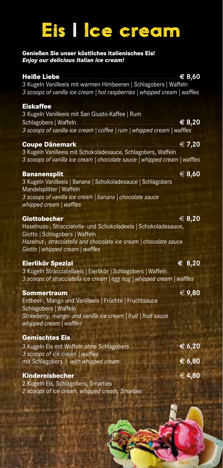## Eis | Ice cream

#### **Genießen Sie unser köstliches italienisches Eis!** *Enjoy our delicious Italian ice cream!*

| <b>Heiße Liebe</b><br>3 Kugeln Vanilleeis mit warmen Himbeeren   Schlagobers   Waffeln<br>3 scoops of vanilla ice cream   hot raspberries   whipped cream   waffles                                                                     | € 8,60           |
|-----------------------------------------------------------------------------------------------------------------------------------------------------------------------------------------------------------------------------------------|------------------|
| <b>Eiskaffee</b><br>3 Kugeln Vanilleeis mit San Giusto-Kaffee   Rum<br>Schlagobers   Waffeln<br>3 scoops of vanilla ice cream   coffee   rum   whipped cream   waffles                                                                  | € 8,20           |
| <b>Coupe Dänemark</b><br>3 Kugeln Vanilleeis mit Schokoladesauce, Schlagobers, Waffeln<br>3 scoops of vanilla ice cream   chocolate sauce   whipped cream   waffles                                                                     | € 7,20           |
| <b>Bananensplit</b><br>3 Kugeln Vanilleeis   Banane   Schokoladesauce   Schlagobers<br>Mandelsplitter   Waffeln<br>3 scoops of vanilla ice cream   banana   chocolate sauce<br>whipped cream   waffles                                  | € 8,60           |
| <b>Giottobecher</b><br>.<br>Haselnuss-, Stracciatella- und Schokoladeeis   Schokoladesauce,<br>Giotto   Schlagobers   Waffeln<br>Hazelnut-, stracciatella and chocolate ice cream   chocolate sauce<br>Giotto   whipped cream   waffles | € $8,20$         |
| Eierlikör Spezial<br>3 Kugeln Stracciatellaeis   Eierlikör   Schlagobers   Waffeln<br>3 scoops of stracciatella ice cream   egg nog   whipped cream   waffles                                                                           | $\epsilon$ 8,20  |
| Sommertraum<br>Erdbeer-, Mango und Vanilleeis   Früchte   Fruchtsauce<br>Schlagobers   Waffeln<br>Strawberry, mango- and vanilla ice cream   fruit   fruit sauce<br>whipped cream   waffles                                             | € 9,80           |
| <b>Gemischtes Eis</b><br>3 Kugeln Eis mit Waffeln ohne Schlagobers.<br>3 scoops of ice cream   waffles<br>mit Schlagobers   with whipped cream                                                                                          | € 6,20<br>€ 6,80 |
| <b>Kindereisbecher</b><br>2 Kugeln Eis, Schlagobers, Smarties<br>2 scoops of ice cream, whipped cream, Smarties                                                                                                                         | $\in$ 4,80       |